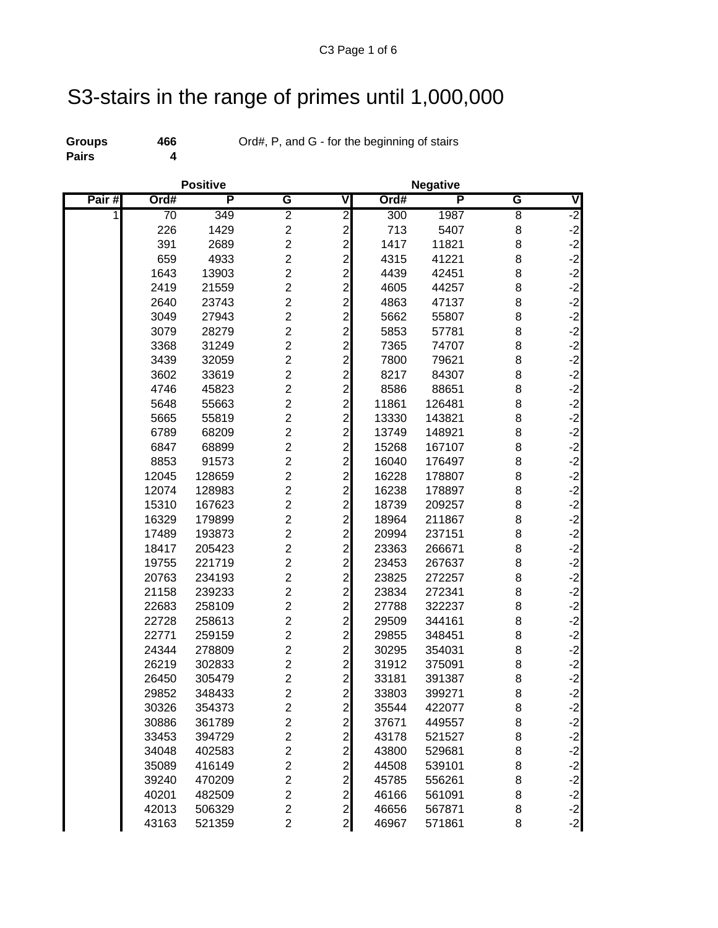## S3-stairs in the range of primes until 1,000,000

**Pairs 4**

**Groups** 466 Ord#, P, and G - for the beginning of stairs

|       |                | <b>Positive</b>  |                                  |                                  | <b>Negative</b> |                  |                |                         |
|-------|----------------|------------------|----------------------------------|----------------------------------|-----------------|------------------|----------------|-------------------------|
| Pair# | Ord#           | P                | G                                | $\overline{\mathsf{V}}$          | Ord#            | Р                | G              | $\overline{\mathsf{v}}$ |
| 1     | 70             | 349              | $\overline{2}$                   | $\overline{c}$                   | 300             | 1987             | $\overline{8}$ | $-2$                    |
|       | 226            | 1429             | $\overline{c}$                   | $\overline{c}$                   | 713             | 5407             | 8              | $-2$                    |
|       | 391            | 2689             | $\overline{2}$                   | $\overline{c}$                   | 1417            | 11821            | 8              | $-2$                    |
|       | 659            | 4933             | $\overline{c}$                   | $\overline{\mathbf{c}}$          | 4315            | 41221            | 8              | $-2$                    |
|       | 1643           | 13903            | $\overline{c}$                   | $\overline{c}$                   | 4439            | 42451            | 8              | $-2$                    |
|       | 2419           | 21559            | $\overline{c}$                   | $\overline{c}$                   | 4605            | 44257            | 8              | $-2$                    |
|       | 2640           | 23743            | $\overline{c}$                   | $\overline{c}$                   | 4863            | 47137            | 8              | $-2$                    |
|       | 3049           | 27943            | $\overline{c}$                   | $\overline{c}$                   | 5662            | 55807            | 8              | $-2$                    |
|       | 3079           | 28279            | $\overline{2}$                   | $\overline{2}$                   | 5853            | 57781            | 8              | $-2$                    |
|       | 3368           | 31249            | $\overline{c}$                   | $\overline{c}$                   | 7365            | 74707            | 8              | $-2$                    |
|       | 3439           | 32059            | $\overline{c}$                   | $\overline{2}$                   | 7800            | 79621            | 8              | $-2$                    |
|       | 3602           | 33619            | $\overline{c}$                   | $\frac{2}{2}$                    | 8217            | 84307            | 8              | $-2$                    |
|       | 4746           | 45823            | $\overline{c}$                   |                                  | 8586            | 88651            | 8              | $-2$<br>$-2$<br>$-2$    |
|       | 5648           | 55663            | $\overline{c}$                   | $\overline{c}$                   | 11861           | 126481           | 8              |                         |
|       | 5665           | 55819            | $\overline{c}$                   | $\overline{c}$                   | 13330           | 143821           | 8              |                         |
|       | 6789           | 68209            | $\overline{c}$                   | $\overline{\mathbf{c}}$          | 13749           | 148921           | 8              | $-2$                    |
|       | 6847           | 68899            | $\overline{2}$                   | $\overline{c}$                   | 15268           | 167107           | 8              | $-2$                    |
|       | 8853           | 91573            | $\overline{c}$                   | $\overline{\mathbf{c}}$          | 16040           | 176497           | 8              | $-2$                    |
|       | 12045          | 128659           | $\overline{c}$                   | $\overline{c}$                   | 16228           | 178807           | 8              | $-2$                    |
|       | 12074          | 128983           | $\overline{c}$                   | $\overline{c}$                   | 16238           | 178897           | 8              | $-2$                    |
|       | 15310          | 167623           | $\overline{c}$                   | $\overline{c}$                   | 18739           | 209257           | 8              | $-2$                    |
|       | 16329          | 179899           | $\overline{c}$                   | $\overline{c}$                   | 18964           | 211867           | 8              | $-2$                    |
|       | 17489          | 193873           | $\overline{c}$                   | $\overline{c}$                   | 20994           | 237151           | 8              | $-2$                    |
|       | 18417          | 205423           | $\overline{c}$                   | $\overline{\mathbf{c}}$          | 23363           | 266671           | 8              | $-2$                    |
|       | 19755          | 221719           | $\overline{2}$                   | $\overline{2}$                   | 23453           | 267637           | 8              | $-2$                    |
|       | 20763          | 234193           | $\overline{c}$<br>$\overline{c}$ | $\overline{\mathbf{c}}$          | 23825           | 272257           | 8              | $-2$<br>$-2$            |
|       | 21158<br>22683 | 239233           | $\overline{c}$                   | $\overline{c}$<br>$\overline{c}$ | 23834<br>27788  | 272341<br>322237 | 8<br>8         | $-2$                    |
|       | 22728          | 258109<br>258613 | $\overline{c}$                   | $\overline{\mathbf{c}}$          | 29509           | 344161           | 8              | $-2$                    |
|       | 22771          | 259159           | $\overline{c}$                   | $\overline{c}$                   | 29855           | 348451           | 8              |                         |
|       | 24344          | 278809           | $\overline{c}$                   | $\overline{c}$                   | 30295           | 354031           | 8              |                         |
|       | 26219          | 302833           | $\overline{c}$                   | $\overline{c}$                   | 31912           | 375091           | 8              | $-2$<br>$-2$<br>$-2$    |
|       | 26450          | 305479           | $\overline{\mathbf{c}}$          | $\overline{\mathbf{c}}$          | 33181           | 391387           | 8              | $-2$                    |
|       | 29852          | 348433           | $\overline{2}$                   | $\overline{a}$                   | 33803           | 399271           | 8              | $-2$                    |
|       | 30326          | 354373           | $\mathbf 2$                      |                                  | 35544           | 422077           | 8              | $-2$                    |
|       | 30886          | 361789           | $\overline{\mathbf{c}}$          | $\mathbf{2}$<br>$\overline{c}$   | 37671           | 449557           | 8              | $-2$                    |
|       | 33453          | 394729           | $\overline{c}$                   | $\overline{c}$                   | 43178           | 521527           | 8              | $-2$                    |
|       | 34048          | 402583           | $\overline{2}$                   | $\overline{c}$                   | 43800           | 529681           | 8              | $-2$                    |
|       | 35089          | 416149           | $\overline{2}$                   | $\overline{c}$                   | 44508           | 539101           | 8              | $-2$                    |
|       | 39240          | 470209           | $\overline{c}$                   | $\mathbf{2}$                     | 45785           | 556261           | 8              | $-2$                    |
|       | 40201          | 482509           | $\boldsymbol{2}$                 | $\mathbf{2}$                     | 46166           | 561091           | 8              | $-2$                    |
|       | 42013          | 506329           | $\overline{c}$                   | $\mathbf{2}$                     | 46656           | 567871           | 8              | $-2$                    |
|       | 43163          | 521359           | $\overline{c}$                   | $\mathbf{2}$                     | 46967           | 571861           | 8              | $-2$                    |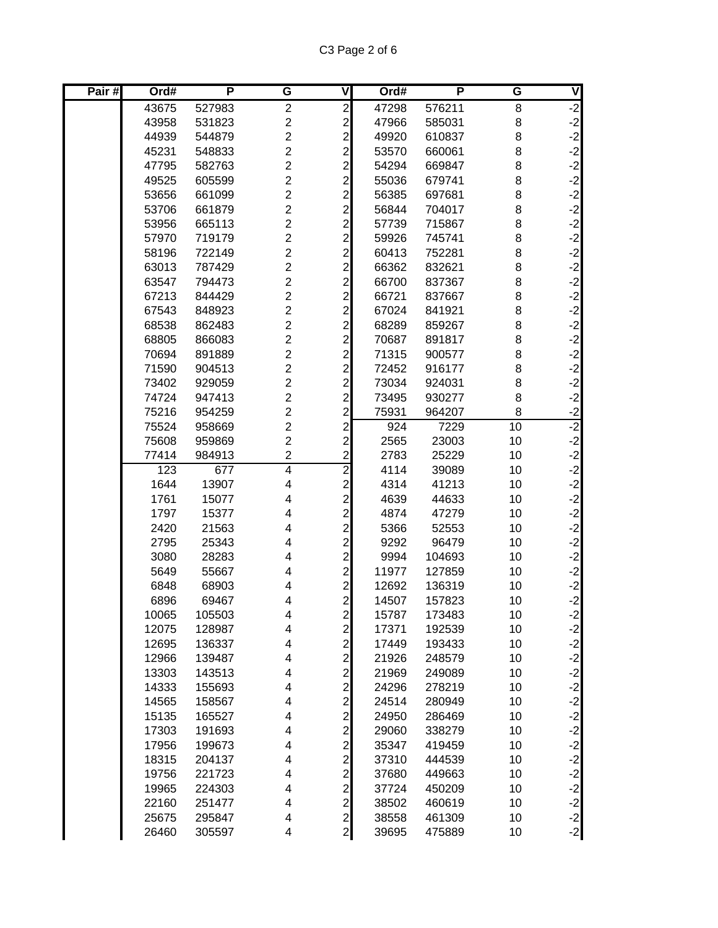C3 Page 2 of 6

| Pair# | Ord#  | P      | G                       | ۷                                              | Ord#  | P      | G  | V    |
|-------|-------|--------|-------------------------|------------------------------------------------|-------|--------|----|------|
|       | 43675 | 527983 | $\overline{2}$          | $\overline{c}$                                 | 47298 | 576211 | 8  | $-2$ |
|       | 43958 | 531823 | $\overline{\mathbf{c}}$ | $\overline{\mathbf{c}}$                        | 47966 | 585031 | 8  | $-2$ |
|       | 44939 | 544879 | $\overline{c}$          | $\overline{2}$                                 | 49920 | 610837 | 8  | $-2$ |
|       | 45231 | 548833 | $\overline{c}$          | $\overline{c}$                                 | 53570 | 660061 | 8  | $-2$ |
|       | 47795 | 582763 | $\overline{c}$          | $\overline{c}$                                 | 54294 | 669847 | 8  | $-2$ |
|       | 49525 | 605599 | $\overline{c}$          | $\overline{c}$                                 | 55036 | 679741 | 8  | $-2$ |
|       | 53656 | 661099 | $\overline{c}$          | $\overline{2}$                                 | 56385 | 697681 | 8  | $-2$ |
|       | 53706 | 661879 | $\overline{c}$          | $\overline{2}$                                 | 56844 | 704017 | 8  | $-2$ |
|       | 53956 | 665113 | $\overline{c}$          | $\overline{c}$                                 | 57739 | 715867 | 8  | $-2$ |
|       | 57970 | 719179 | $\overline{c}$          | $\overline{c}$                                 | 59926 | 745741 | 8  | $-2$ |
|       | 58196 | 722149 | $\overline{c}$          | $\overline{2}$                                 | 60413 | 752281 | 8  | $-2$ |
|       | 63013 | 787429 | $\overline{c}$          | $\overline{2}$                                 | 66362 | 832621 | 8  | $-2$ |
|       | 63547 | 794473 | $\overline{c}$          | $\overline{c}$                                 | 66700 | 837367 | 8  | $-2$ |
|       | 67213 | 844429 | $\overline{c}$          |                                                | 66721 | 837667 | 8  | $-2$ |
|       | 67543 | 848923 | $\overline{c}$          | $\frac{2}{2}$                                  | 67024 | 841921 | 8  | $-2$ |
|       | 68538 | 862483 | $\overline{c}$          | $\overline{2}$                                 | 68289 | 859267 | 8  | $-2$ |
|       | 68805 | 866083 | $\overline{c}$          | $\overline{2}$                                 | 70687 | 891817 | 8  | $-2$ |
|       | 70694 | 891889 | $\overline{c}$          | $\overline{c}$                                 | 71315 | 900577 | 8  | $-2$ |
|       | 71590 | 904513 | $\overline{c}$          | $\overline{c}$                                 | 72452 | 916177 | 8  | $-2$ |
|       | 73402 | 929059 | $\overline{c}$          | $\overline{c}$                                 | 73034 | 924031 | 8  | $-2$ |
|       | 74724 | 947413 | $\overline{c}$          | $\overline{c}$                                 | 73495 | 930277 | 8  | $-2$ |
|       | 75216 | 954259 | $\overline{c}$          | $\overline{c}$                                 | 75931 | 964207 | 8  | $-2$ |
|       | 75524 | 958669 | $\overline{c}$          | $\overline{\mathbf{c}}$                        | 924   | 7229   | 10 | $-2$ |
|       | 75608 | 959869 | $\overline{c}$          | $\overline{2}$                                 | 2565  | 23003  | 10 | $-2$ |
|       | 77414 | 984913 | $\overline{c}$          | $\overline{2}$                                 | 2783  | 25229  | 10 | $-2$ |
|       | 123   | 677    | $\overline{\mathbf{4}}$ | $\overline{2}$                                 | 4114  | 39089  | 10 | $-2$ |
|       | 1644  | 13907  | 4                       | $\overline{c}$                                 | 4314  | 41213  | 10 | $-2$ |
|       | 1761  | 15077  | 4                       | $\overline{2}$                                 | 4639  | 44633  | 10 | $-2$ |
|       | 1797  | 15377  | 4                       | $\overline{2}$                                 | 4874  | 47279  | 10 | $-2$ |
|       | 2420  | 21563  | 4                       | $\overline{c}$                                 | 5366  | 52553  | 10 | $-2$ |
|       | 2795  | 25343  | 4                       | $\overline{c}$                                 | 9292  | 96479  | 10 | $-2$ |
|       | 3080  | 28283  | 4                       | $\overline{c}$                                 | 9994  | 104693 | 10 | $-2$ |
|       | 5649  | 55667  | 4                       | $\overline{c}$                                 | 11977 | 127859 | 10 | $-2$ |
|       | 6848  | 68903  | 4                       | $\overline{c}$                                 | 12692 | 136319 | 10 | $-2$ |
|       | 6896  | 69467  | 4                       | $\mathbf{2}$                                   | 14507 | 157823 | 10 | $-2$ |
|       | 10065 | 105503 | 4                       | $\mathbf{2}$                                   | 15787 | 173483 | 10 | $-2$ |
|       | 12075 | 128987 | 4                       | $2\vert$                                       | 17371 | 192539 | 10 | $-2$ |
|       | 12695 | 136337 | 4                       | $\begin{array}{c}\n 2 \\ 2 \\ 3\n \end{array}$ | 17449 | 193433 | 10 | $-2$ |
|       | 12966 | 139487 | 4                       |                                                | 21926 | 248579 | 10 | $-2$ |
|       | 13303 | 143513 | 4                       |                                                | 21969 | 249089 | 10 | $-2$ |
|       | 14333 | 155693 | 4                       |                                                | 24296 | 278219 | 10 | $-2$ |
|       | 14565 | 158567 | 4                       |                                                | 24514 | 280949 | 10 | $-2$ |
|       | 15135 | 165527 | 4                       | $\mathbf{2}$                                   | 24950 | 286469 | 10 | $-2$ |
|       | 17303 | 191693 | 4                       | $\mathbf{2}$                                   | 29060 | 338279 | 10 | $-2$ |
|       | 17956 | 199673 | 4                       | $\mathbf{2}$                                   | 35347 | 419459 | 10 | $-2$ |
|       | 18315 | 204137 | 4                       | $\overline{a}$                                 | 37310 | 444539 | 10 | $-2$ |
|       | 19756 | 221723 | 4                       | $\overline{a}$                                 | 37680 | 449663 | 10 | $-2$ |
|       | 19965 | 224303 | 4                       | $\mathbf{2}$                                   | 37724 | 450209 | 10 | $-2$ |
|       | 22160 | 251477 | 4                       | $\overline{2}$                                 | 38502 | 460619 | 10 | $-2$ |
|       | 25675 | 295847 | 4                       | $\mathbf{2}$                                   | 38558 | 461309 | 10 | $-2$ |
|       | 26460 | 305597 | 4                       | $\mathbf{2}$                                   | 39695 | 475889 | 10 | $-2$ |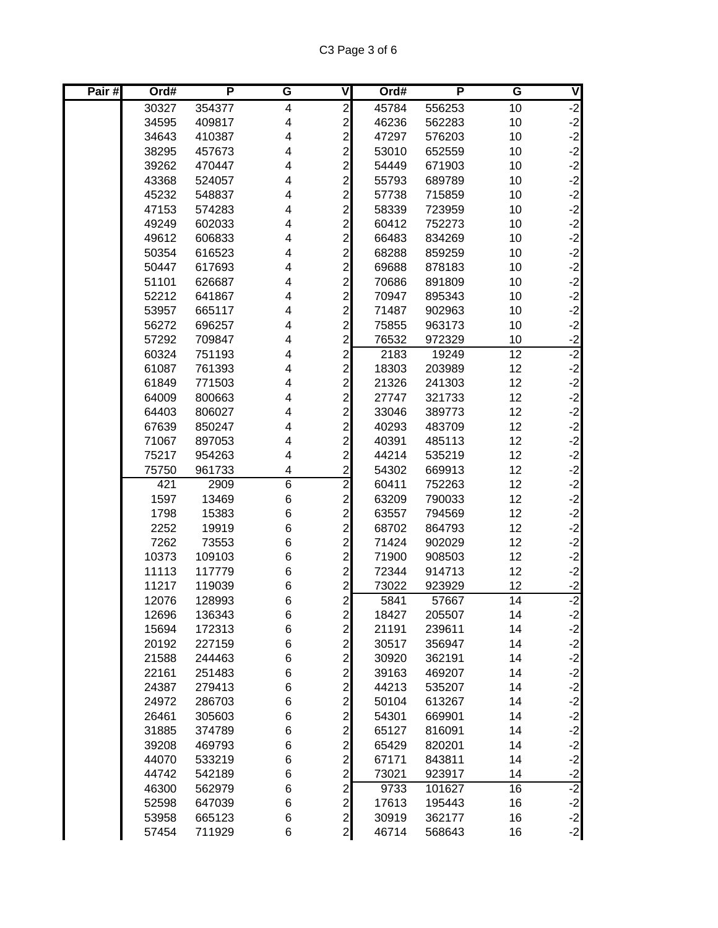C3 Page 3 of 6

| Pair# | Ord#           | P      | G              | V                                     | Ord#           | P      | G               | V                                        |
|-------|----------------|--------|----------------|---------------------------------------|----------------|--------|-----------------|------------------------------------------|
|       | 30327          | 354377 | 4              | $\overline{2}$                        | 45784          | 556253 | 10              | $-2$                                     |
|       | 34595          | 409817 | 4              | $\overline{c}$                        | 46236          | 562283 | 10              | $-2$                                     |
|       | 34643          | 410387 | 4              | $\overline{c}$                        | 47297          | 576203 | 10              | $-2$                                     |
|       | 38295          | 457673 | 4              | $\overline{c}$                        | 53010          | 652559 | 10              | $-2$                                     |
|       | 39262          | 470447 | 4              | $\overline{c}$                        | 54449          | 671903 | 10              | $-2$                                     |
|       | 43368          | 524057 | 4              | $\overline{c}$                        | 55793          | 689789 | 10              | $-2$                                     |
|       | 45232          | 548837 | 4              | $\overline{2}$                        | 57738          | 715859 | 10              | $-2$                                     |
|       | 47153          | 574283 | 4              | $\overline{c}$                        | 58339          | 723959 | 10              | $-2$                                     |
|       | 49249          | 602033 | 4              | $\overline{c}$                        | 60412          | 752273 | 10              | $-2$                                     |
|       | 49612          | 606833 | 4              | $\overline{\mathbf{c}}$               | 66483          | 834269 | 10              | $-2$                                     |
|       | 50354          | 616523 | 4              | $\overline{c}$                        | 68288          | 859259 | 10              | $-2$                                     |
|       | 50447          | 617693 | 4              | $\overline{c}$                        | 69688          | 878183 | 10              | $-2$                                     |
|       | 51101          | 626687 | 4              | $\overline{c}$                        | 70686          | 891809 | 10              | $-2$                                     |
|       | 52212          | 641867 | 4              | $\overline{\mathbf{c}}$               | 70947          | 895343 | 10              | $-2$                                     |
|       | 53957          | 665117 | 4              | $\overline{c}$                        | 71487          | 902963 | 10              | $-2$                                     |
|       | 56272          | 696257 | 4              | $\overline{c}$                        | 75855          | 963173 | 10              | $-2$                                     |
|       | 57292          | 709847 | 4              | $\overline{c}$                        | 76532          | 972329 | 10              | $-2$                                     |
|       | 60324          | 751193 | 4              | $\overline{c}$                        | 2183           | 19249  | $\overline{12}$ | $-2$                                     |
|       | 61087          | 761393 | 4              | $\overline{2}$                        | 18303          | 203989 | 12              | $-2$                                     |
|       | 61849          | 771503 | 4              | $\overline{c}$                        | 21326          | 241303 | 12              | $-2$                                     |
|       | 64009          | 800663 | 4              | $\overline{c}$                        | 27747          | 321733 | 12              | $-2$                                     |
|       | 64403          | 806027 | 4              | $\overline{c}$                        | 33046          | 389773 | 12              | $-2$                                     |
|       | 67639          | 850247 | 4              | $\overline{c}$                        | 40293          | 483709 | 12              | $-2$                                     |
|       | 71067          | 897053 | 4              | $\overline{c}$                        | 40391          | 485113 | 12              | $-2$                                     |
|       | 75217          | 954263 | 4              | $\overline{c}$                        | 44214          | 535219 | 12              | $-2$                                     |
|       | 75750          | 961733 | 4              | $\overline{\mathbf{c}}$               | 54302          | 669913 | 12              | $-2$                                     |
|       | 421            | 2909   | $\overline{6}$ | $\overline{2}$                        | 60411          | 752263 | 12              | $-2$                                     |
|       | 1597           | 13469  | 6              | $\overline{\mathbf{c}}$               | 63209          | 790033 | 12              | $-2$                                     |
|       | 1798           | 15383  | 6              | $\overline{c}$                        | 63557          | 794569 | 12              | $-2$                                     |
|       | 2252           | 19919  | 6              | $\overline{c}$                        | 68702          | 864793 | 12              | $-2$                                     |
|       | 7262           | 73553  | 6              | $\overline{c}$                        | 71424          | 902029 | 12              | $-2$                                     |
|       | 10373          | 109103 | 6              | $\overline{c}$                        | 71900          | 908503 | 12              | $-2$                                     |
|       | 11113          | 117779 | 6              | $\overline{c}$                        | 72344          | 914713 | 12              | $-2$                                     |
|       | 11217          | 119039 | 6              | $\overline{2}$                        | 73022          | 923929 | 12              | $-2$                                     |
|       | 12076          | 128993 | 6              | $\mathbf{2}$                          | 5841           | 57667  | 14              | $-2$                                     |
|       | 12696          | 136343 | 6              | $\mathbf{2}$                          | 18427          | 205507 | 14              | $-2$                                     |
|       | 15694          | 172313 | 6              | $\mathbf{2}$                          | 21191          | 239611 | 14              | $-2$                                     |
|       | 20192          | 227159 | 6              | $\begin{array}{c} 2 \\ 2 \end{array}$ | 30517          | 356947 | 14              | $-2$                                     |
|       | 21588          | 244463 | 6              |                                       | 30920          | 362191 | 14              | $-2$                                     |
|       | 22161          | 251483 | 6              |                                       | 39163          | 469207 | 14              | $-2$                                     |
|       | 24387          | 279413 | 6              | $\overline{c}$                        | 44213          | 535207 | 14              | $-2$                                     |
|       | 24972          | 286703 | 6              | $\overline{c}$                        | 50104          | 613267 | 14              | $-2$                                     |
|       | 26461          | 305603 | $\,$ 6 $\,$    | $\overline{c}$                        | 54301          | 669901 | 14              | $-2$                                     |
|       | 31885          | 374789 | 6              | $\overline{c}$                        | 65127          | 816091 | 14              | $-2$                                     |
|       | 39208          | 469793 | 6              | $\overline{2}$                        | 65429          | 820201 | 14              | $-2$                                     |
|       | 44070          | 533219 | 6              | $\overline{c}$                        | 67171          | 843811 | 14              | $-2$                                     |
|       | 44742          | 542189 | 6              | $\overline{2}$                        | 73021          | 923917 | 14              | $-2$                                     |
|       | 46300          | 562979 | 6              | $\overline{c}$<br>$\mathbf{2}$        | 9733           | 101627 | 16              | $-2$                                     |
|       | 52598          | 647039 | 6              | $\mathbf{2}$                          | 17613          | 195443 | 16              | $-2$                                     |
|       | 53958<br>57454 | 665123 | 6<br>6         | $2\vert$                              | 30919<br>46714 | 362177 | 16<br>16        | $\begin{bmatrix} -2 \\ -2 \end{bmatrix}$ |
|       |                | 711929 |                |                                       |                | 568643 |                 |                                          |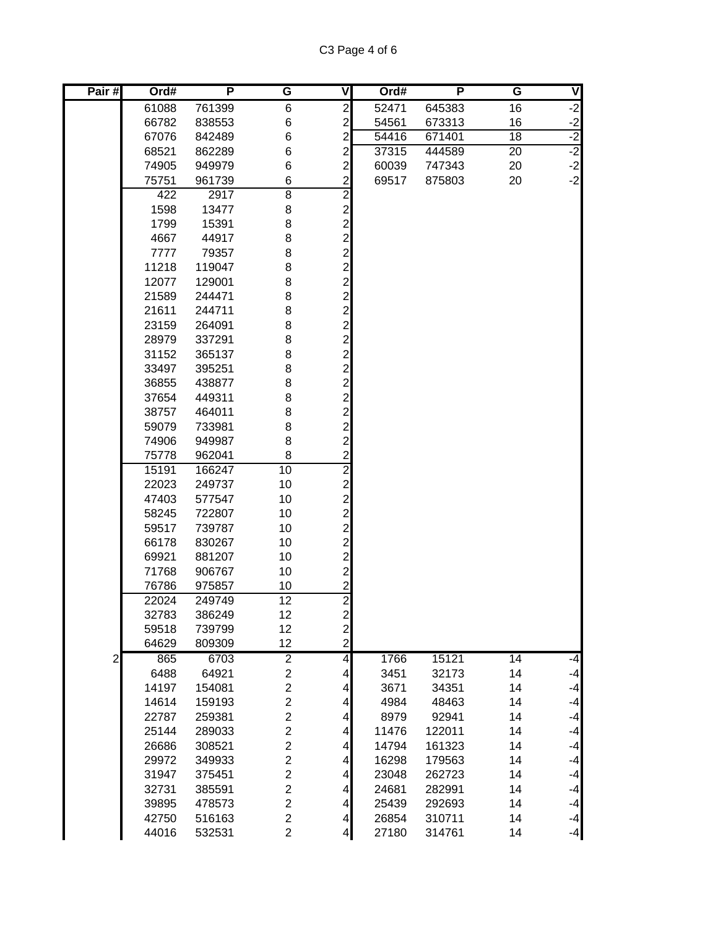| Pair#          | Ord#           | P                | G                                         | $\overline{\mathsf{v}}$                    | Ord#           | P                | G        | V            |
|----------------|----------------|------------------|-------------------------------------------|--------------------------------------------|----------------|------------------|----------|--------------|
|                | 61088          | 761399           | 6                                         | $\overline{\mathbf{c}}$                    | 52471          | 645383           | 16       | $-2$         |
|                | 66782          | 838553           | 6                                         | $\overline{\mathbf{c}}$                    | 54561          | 673313           | 16       | $-2$         |
|                | 67076          | 842489           | 6                                         | $\overline{c}$                             | 54416          | 671401           | 18       | $-2$         |
|                | 68521          | 862289           | 6                                         | $\overline{\mathbf{c}}$                    | 37315          | 444589           | 20       | $-2$         |
|                | 74905          | 949979           | 6                                         | $\overline{\mathbf{c}}$                    | 60039          | 747343           | 20       | ا د.<br>2-   |
|                | 75751          | 961739           | 6                                         | $\overline{c}$                             | 69517          | 875803           | 20       |              |
|                | 422            | 2917             | 8                                         |                                            |                |                  |          |              |
|                | 1598           | 13477            | 8                                         |                                            |                |                  |          |              |
|                | 1799           | 15391            | 8                                         |                                            |                |                  |          |              |
|                | 4667           | 44917            | 8                                         |                                            |                |                  |          |              |
|                | 7777           | 79357            | 8                                         |                                            |                |                  |          |              |
|                | 11218          | 119047           | 8                                         |                                            |                |                  |          |              |
|                | 12077          | 129001           | 8                                         |                                            |                |                  |          |              |
|                | 21589          | 244471           | 8                                         |                                            |                |                  |          |              |
|                | 21611          | 244711           | 8                                         |                                            |                |                  |          |              |
|                | 23159          | 264091           | 8                                         |                                            |                |                  |          |              |
|                | 28979          | 337291           | 8                                         |                                            |                |                  |          |              |
|                | 31152          | 365137           | 8                                         |                                            |                |                  |          |              |
|                | 33497          | 395251           | 8                                         |                                            |                |                  |          |              |
|                | 36855          | 438877           | 8                                         |                                            |                |                  |          |              |
|                | 37654          | 449311           | 8                                         |                                            |                |                  |          |              |
|                | 38757          | 464011           | 8                                         |                                            |                |                  |          |              |
|                | 59079          | 733981           | 8                                         |                                            |                |                  |          |              |
|                | 74906          | 949987           | 8                                         | 2 2 2 2 2 2 2 2 2 2 2 2 2 2 2 2 2 2 2      |                |                  |          |              |
|                | 75778          | 962041           | 8                                         |                                            |                |                  |          |              |
|                | 15191          | 166247           | $\overline{10}$                           | $\overline{2}$                             |                |                  |          |              |
|                | 22023          | 249737           | 10                                        | $2222$<br>$222$                            |                |                  |          |              |
|                | 47403          | 577547           | 10                                        |                                            |                |                  |          |              |
|                | 58245          | 722807           | 10                                        |                                            |                |                  |          |              |
|                | 59517          | 739787           | 10                                        |                                            |                |                  |          |              |
|                | 66178          | 830267           | 10                                        |                                            |                |                  |          |              |
|                | 69921          | 881207           | 10                                        | $\overline{c}$                             |                |                  |          |              |
|                | 71768          | 906767           | 10                                        | $\frac{2}{2}$                              |                |                  |          |              |
|                | 76786          | 975857           | 10                                        |                                            |                |                  |          |              |
|                | 22024          | 249749           | 12                                        | $\overline{2}$                             |                |                  |          |              |
|                | 32783          | 386249           | 12                                        |                                            |                |                  |          |              |
|                | 59518          | 739799           | 12                                        | $\begin{array}{c} 2 \\ 2 \\ 2 \end{array}$ |                |                  |          |              |
|                | 64629          | 809309           | 12                                        |                                            |                |                  |          |              |
| $\overline{2}$ | 865            | 6703             | $\overline{2}$                            | $\overline{\mathcal{A}}$                   | 1766           | 15121            | 14       | -4           |
|                | 6488<br>14197  | 64921<br>154081  | $\overline{\mathbf{c}}$                   | 4<br>4                                     | 3451<br>3671   | 32173<br>34351   | 14       | $-4$         |
|                | 14614          |                  | $\boldsymbol{2}$                          |                                            | 4984           |                  | 14       | $-4$         |
|                |                | 159193<br>259381 | $\overline{\mathbf{c}}$                   | 4                                          |                | 48463            | 14       | $-4$         |
|                | 22787<br>25144 |                  | $\overline{c}$                            | 4                                          | 8979<br>11476  | 92941<br>122011  | 14       | $-4$         |
|                | 26686          | 289033           | $\overline{\mathbf{c}}$<br>$\overline{c}$ | 4<br>4                                     | 14794          | 161323           | 14<br>14 | $-4$         |
|                | 29972          | 308521<br>349933 | $\overline{c}$                            |                                            | 16298          | 179563           | 14       | $-4$         |
|                |                |                  |                                           | 4<br>4                                     | 23048          | 262723           | 14       | $-4$         |
|                |                |                  |                                           |                                            |                |                  |          |              |
|                | 31947          | 375451           | $\overline{c}$                            |                                            |                |                  |          | $-4$         |
|                | 32731          | 385591           | $\overline{c}$                            | 4                                          | 24681          | 282991           | 14       | $-4$         |
|                | 39895<br>42750 | 478573<br>516163 | $\overline{\mathbf{c}}$<br>$\overline{c}$ | 4<br>$\overline{\mathbf{4}}$               | 25439<br>26854 | 292693<br>310711 | 14<br>14 | $-4$<br>$-4$ |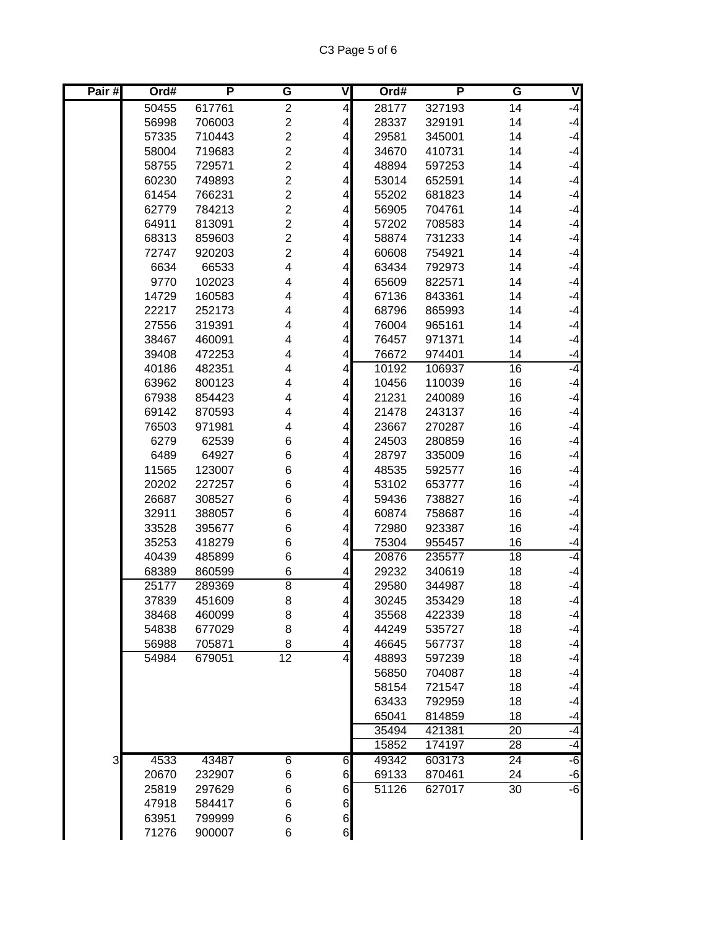C3 Page 5 of 6

| Pair# | Ord#  | P      | G                       | ۷               | Ord#  | P      | G               | V    |
|-------|-------|--------|-------------------------|-----------------|-------|--------|-----------------|------|
|       | 50455 | 617761 | $\overline{2}$          | 4               | 28177 | 327193 | 14              | $-4$ |
|       | 56998 | 706003 | $\overline{\mathbf{c}}$ | 4               | 28337 | 329191 | 14              | $-4$ |
|       | 57335 | 710443 | $\overline{c}$          | 4               | 29581 | 345001 | 14              | $-4$ |
|       | 58004 | 719683 | $\overline{c}$          | 4               | 34670 | 410731 | 14              | $-4$ |
|       | 58755 | 729571 | $\overline{c}$          | 4               | 48894 | 597253 | 14              | $-4$ |
|       | 60230 | 749893 | $\overline{\mathbf{c}}$ | 4               | 53014 | 652591 | 14              | $-4$ |
|       | 61454 | 766231 | $\overline{c}$          | 4               | 55202 | 681823 | 14              | $-4$ |
|       | 62779 | 784213 | $\overline{c}$          | 4               | 56905 | 704761 | 14              | $-4$ |
|       | 64911 | 813091 | $\overline{2}$          | 4               | 57202 | 708583 | 14              | $-4$ |
|       | 68313 | 859603 | $\overline{\mathbf{c}}$ | 4               | 58874 | 731233 | 14              | $-4$ |
|       | 72747 | 920203 | $\overline{2}$          | 4               | 60608 | 754921 | 14              | $-4$ |
|       | 6634  | 66533  | 4                       | 4               | 63434 | 792973 | 14              | $-4$ |
|       | 9770  | 102023 | 4                       | 4               | 65609 | 822571 | 14              | $-4$ |
|       | 14729 | 160583 | 4                       | 4               | 67136 | 843361 | 14              | $-4$ |
|       | 22217 | 252173 | 4                       | 4               | 68796 | 865993 | 14              | $-4$ |
|       | 27556 | 319391 | 4                       | 4               | 76004 | 965161 | 14              | $-4$ |
|       | 38467 | 460091 | 4                       | 4               | 76457 | 971371 | 14              | $-4$ |
|       | 39408 | 472253 | 4                       | 4               | 76672 | 974401 | 14              | $-4$ |
|       | 40186 | 482351 | 4                       | 4               | 10192 | 106937 | $\overline{16}$ | $-4$ |
|       | 63962 | 800123 | 4                       | 4               | 10456 | 110039 | 16              | $-4$ |
|       | 67938 | 854423 | 4                       | 4               | 21231 | 240089 | 16              | $-4$ |
|       | 69142 | 870593 | 4                       | 4               | 21478 | 243137 | 16              | $-4$ |
|       | 76503 | 971981 | 4                       | 4               | 23667 | 270287 | 16              | $-4$ |
|       | 6279  | 62539  | 6                       | 4               | 24503 | 280859 | 16              | $-4$ |
|       | 6489  | 64927  | 6                       | 4               | 28797 | 335009 | 16              | $-4$ |
|       | 11565 | 123007 | 6                       | 4               | 48535 | 592577 | 16              | $-4$ |
|       | 20202 | 227257 | 6                       | 4               | 53102 | 653777 | 16              | $-4$ |
|       | 26687 | 308527 | 6                       | 4               | 59436 | 738827 | 16              | $-4$ |
|       | 32911 | 388057 | 6                       | 4               | 60874 | 758687 | 16              | $-4$ |
|       | 33528 | 395677 | 6                       | 4               | 72980 | 923387 | 16              | $-4$ |
|       | 35253 | 418279 | 6                       | 4               | 75304 | 955457 | 16              | $-4$ |
|       | 40439 | 485899 | 6                       | 4               | 20876 | 235577 | 18              | $-4$ |
|       | 68389 | 860599 | 6                       | 4               | 29232 | 340619 | 18              | $-4$ |
|       | 25177 | 289369 | 8                       | 4               | 29580 | 344987 | 18              | $-4$ |
|       | 37839 | 451609 | 8                       | $\vert 4 \vert$ | 30245 | 353429 | 18              | $-4$ |
|       | 38468 | 460099 | 8                       | 4               | 35568 | 422339 | 18              | $-4$ |
|       | 54838 | 677029 | 8                       | 4               | 44249 | 535727 | 18              | $-4$ |
|       | 56988 | 705871 | 8                       | 4               | 46645 | 567737 | 18              | $-4$ |
|       | 54984 | 679051 | 12                      | 4               | 48893 | 597239 | 18              | $-4$ |
|       |       |        |                         |                 | 56850 | 704087 | 18              | $-4$ |
|       |       |        |                         |                 | 58154 | 721547 | 18              | $-4$ |
|       |       |        |                         |                 | 63433 | 792959 | 18              | $-4$ |
|       |       |        |                         |                 | 65041 | 814859 | 18              | -4   |
|       |       |        |                         |                 | 35494 | 421381 | 20              | $-4$ |
|       |       |        |                         |                 | 15852 | 174197 | 28              | -4   |
| 3     | 4533  | 43487  | $\overline{6}$          | 6               | 49342 | 603173 | $\overline{24}$ | -6   |
|       | 20670 | 232907 | 6                       | 6               | 69133 | 870461 | 24              | $-6$ |
|       | 25819 | 297629 | 6                       | 6               | 51126 | 627017 | 30              | $-6$ |
|       | 47918 | 584417 | 6                       | 6               |       |        |                 |      |
|       | 63951 | 799999 | 6                       | 6               |       |        |                 |      |
|       | 71276 | 900007 | 6                       | 6               |       |        |                 |      |